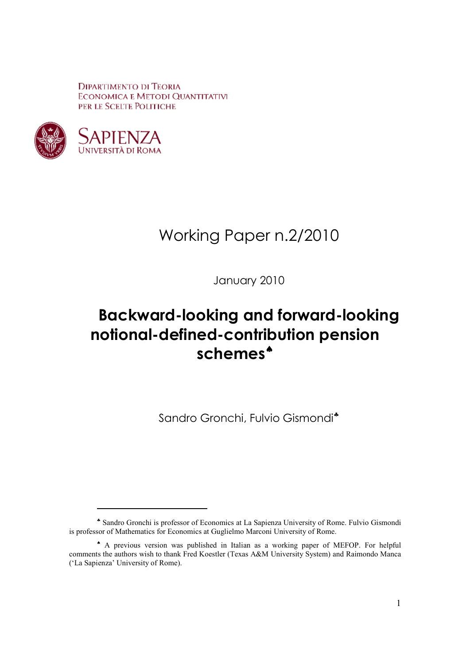**DIPARTIMENTO DI TEORIA ECONOMICA E METODI QUANTITATIVI** PER LE SCELTE POLITICHE



-

# Working Paper n.2/2010

January 2010

# **Backward-looking and forward-looking notional-defined-contribution pension schemes**♠

Sandro Gronchi, Fulvio Gismondi<sup>\*</sup>

<sup>♣</sup> Sandro Gronchi is professor of Economics at La Sapienza University of Rome. Fulvio Gismondi is professor of Mathematics for Economics at Guglielmo Marconi University of Rome.

<sup>♠</sup> A previous version was published in Italian as a working paper of MEFOP. For helpful comments the authors wish to thank Fred Koestler (Texas A&M University System) and Raimondo Manca ('La Sapienza' University of Rome).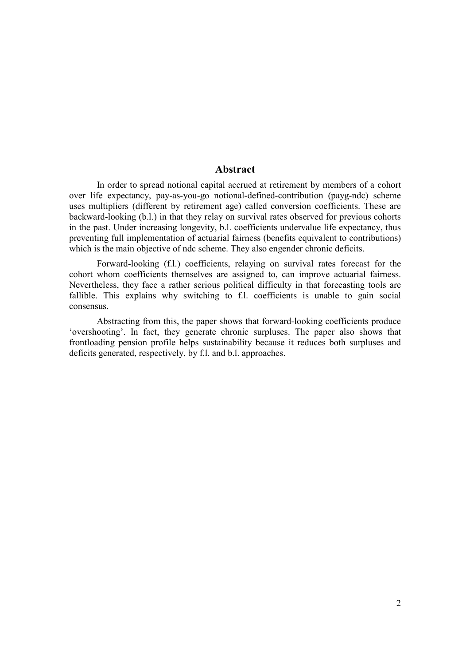#### **Abstract**

In order to spread notional capital accrued at retirement by members of a cohort over life expectancy, pay-as-you-go notional-defined-contribution (payg-ndc) scheme uses multipliers (different by retirement age) called conversion coefficients. These are backward-looking (b.l.) in that they relay on survival rates observed for previous cohorts in the past. Under increasing longevity, b.l. coefficients undervalue life expectancy, thus preventing full implementation of actuarial fairness (benefits equivalent to contributions) which is the main objective of ndc scheme. They also engender chronic deficits.

Forward-looking (f.l.) coefficients, relaying on survival rates forecast for the cohort whom coefficients themselves are assigned to, can improve actuarial fairness. Nevertheless, they face a rather serious political difficulty in that forecasting tools are fallible. This explains why switching to f.l. coefficients is unable to gain social consensus.

Abstracting from this, the paper shows that forward-looking coefficients produce 'overshooting'. In fact, they generate chronic surpluses. The paper also shows that frontloading pension profile helps sustainability because it reduces both surpluses and deficits generated, respectively, by f.l. and b.l. approaches.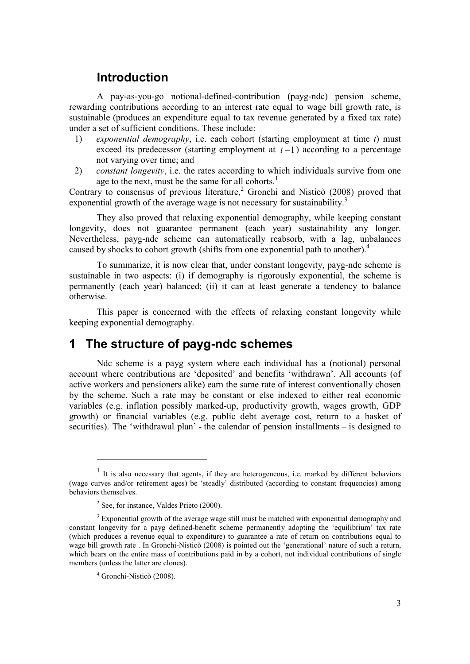## **Introduction**

A pay-as-you-go notional-defined-contribution (payg-ndc) pension scheme, rewarding contributions according to an interest rate equal to wage bill growth rate, is sustainable (produces an expenditure equal to tax revenue generated by a fixed tax rate) under a set of sufficient conditions. These include:

- 1) *exponential demography*, i.e. each cohort (starting employment at time *t*) must exceed its predecessor (starting employment at  $t-1$ ) according to a percentage not varying over time; and
- 2) *constant longevity*, i.e. the rates according to which individuals survive from one age to the next, must be the same for all cohorts.<sup>1</sup>

Contrary to consensus of previous literature,<sup>2</sup> Gronchi and Nisticò (2008) proved that exponential growth of the average wage is not necessary for sustainability.<sup>3</sup>

They also proved that relaxing exponential demography, while keeping constant longevity, does not guarantee permanent (each year) sustainability any longer. Nevertheless, payg-ndc scheme can automatically reabsorb, with a lag, unbalances caused by shocks to cohort growth (shifts from one exponential path to another).<sup>4</sup>

To summarize, it is now clear that, under constant longevity, payg-ndc scheme is sustainable in two aspects: (i) if demography is rigorously exponential, the scheme is permanently (each year) balanced; (ii) it can at least generate a tendency to balance otherwise.

This paper is concerned with the effects of relaxing constant longevity while keeping exponential demography.

## **1 The structure of payg-ndc schemes**

Ndc scheme is a payg system where each individual has a (notional) personal account where contributions are 'deposited' and benefits 'withdrawn'. All accounts (of active workers and pensioners alike) earn the same rate of interest conventionally chosen by the scheme. Such a rate may be constant or else indexed to either real economic variables (e.g. inflation possibly marked-up, productivity growth, wages growth, GDP growth) or financial variables (e.g. public debt average cost, return to a basket of securities). The 'withdrawal plan' - the calendar of pension installments – is designed to

-

<sup>&</sup>lt;sup>1</sup> It is also necessary that agents, if they are heterogeneous, i.e. marked by different behaviors (wage curves and/or retirement ages) be 'steadly' distributed (according to constant frequencies) among behaviors themselves.

 $2$  See, for instance, Valdes Prieto (2000).

<sup>&</sup>lt;sup>3</sup> Exponential growth of the average wage still must be matched with exponential demography and constant longevity for a payg defined-benefit scheme permanently adopting the 'equilibrium' tax rate (which produces a revenue equal to expenditure) to guarantee a rate of return on contributions equal to wage bill growth rate . In Gronchi-Nisticò (2008) is pointed out the 'generational' nature of such a return, which bears on the entire mass of contributions paid in by a cohort, not individual contributions of single members (unless the latter are clones).

<sup>4</sup> Gronchi-Nisticò (2008).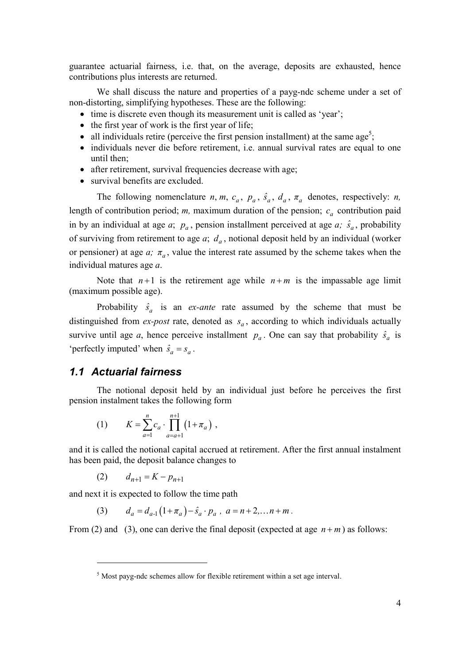guarantee actuarial fairness, i.e. that, on the average, deposits are exhausted, hence contributions plus interests are returned.

We shall discuss the nature and properties of a payg-ndc scheme under a set of non-distorting, simplifying hypotheses. These are the following:

- time is discrete even though its measurement unit is called as 'year';
- the first year of work is the first year of life;
- all individuals retire (perceive the first pension installment) at the same age<sup>5</sup>;
- individuals never die before retirement, i.e. annual survival rates are equal to one until then;
- after retirement, survival frequencies decrease with age;
- survival benefits are excluded.

The following nomenclature *n*, *m*,  $c_a$ ,  $p_a$ ,  $\hat{s}_a$ ,  $d_a$ ,  $\pi_a$  denotes, respectively: *n*, length of contribution period;  $m$ , maximum duration of the pension;  $c_a$  contribution paid in by an individual at age *a*;  $p_a$ , pension installment perceived at age *a*;  $\hat{s}_a$ , probability of surviving from retirement to age  $a$ ;  $d_a$ , notional deposit held by an individual (worker or pensioner) at age  $a$ ;  $\pi_a$ , value the interest rate assumed by the scheme takes when the individual matures age *a*.

Note that  $n+1$  is the retirement age while  $n+m$  is the impassable age limit (maximum possible age).

Probability  $\hat{s}_a$  is an *ex-ante* rate assumed by the scheme that must be distinguished from *ex-post* rate, denoted as  $s_a$ , according to which individuals actually survive until age *a*, hence perceive installment  $p_a$ . One can say that probability  $\hat{s}_a$  is 'perfectly imputed' when  $\hat{s}_a = s_a$ .

#### *1.1 Actuarial fairness*

The notional deposit held by an individual just before he perceives the first pension instalment takes the following form

(1) 
$$
K = \sum_{a=1}^{n} c_a \cdot \prod_{a=a+1}^{n+1} (1 + \pi_a) ,
$$

and it is called the notional capital accrued at retirement. After the first annual instalment has been paid, the deposit balance changes to

(2) 
$$
d_{n+1} = K - p_{n+1}
$$

-

and next it is expected to follow the time path

(3)  $d_a = d_{a1} (1 + \pi_a) - \hat{s}_a \cdot p_a$ ,  $a = n + 2,... n + m$ .

From (2) and (3), one can derive the final deposit (expected at age  $n+m$ ) as follows:

<sup>&</sup>lt;sup>5</sup> Most payg-ndc schemes allow for flexible retirement within a set age interval.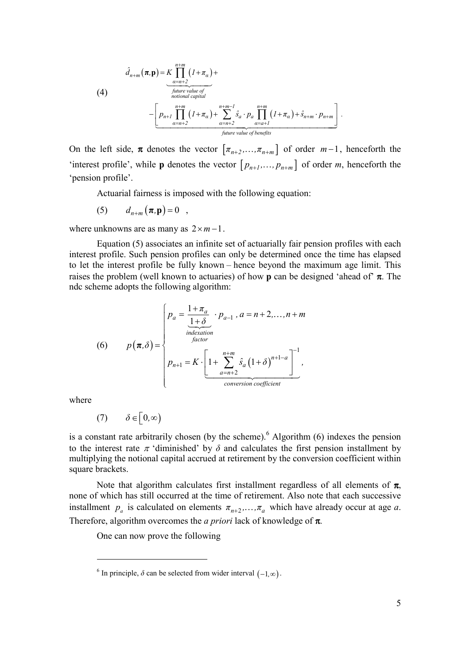$$
\hat{d}_{n+m}(\pi,\mathbf{p}) = K \prod_{\substack{\alpha=n+2 \text{ prime value of} \\ \text{notional capital} \\ \text{not all}}}^{n+m} (1+\pi_{\alpha}) +
$$
\n
$$
-\underbrace{\left[ p_{n+1} \prod_{\alpha=n+2}^{n+m} (1+\pi_{\alpha}) + \sum_{\alpha=n+2}^{n+m-1} \hat{s}_{\alpha} \cdot p_{\alpha} \prod_{\alpha=a+1}^{n+m} (1+\pi_{\alpha}) + \hat{s}_{n+m} \cdot p_{n+m} \right]}_{\text{future value of benefits}}.
$$

On the left side,  $\pi$  denotes the vector  $[\pi_{n+2},...,\pi_{n+m}]$  of order  $m-1$ , henceforth the 'interest profile', while **p** denotes the vector  $[p_{n+1},...,p_{n+m}]$  of order *m*, henceforth the 'pension profile'.

Actuarial fairness is imposed with the following equation:

$$
(5) \t d_{n+m}(\boldsymbol{\pi},\mathbf{p})=0 ,
$$

where unknowns are as many as  $2 \times m - 1$ .

Equation (5) associates an infinite set of actuarially fair pension profiles with each interest profile. Such pension profiles can only be determined once the time has elapsed to let the interest profile be fully known – hence beyond the maximum age limit. This raises the problem (well known to actuaries) of how **p** can be designed 'ahead of'  $\pi$ . The ndc scheme adopts the following algorithm:

(6) 
$$
p(\boldsymbol{\pi}, \delta) = \begin{cases} p_a = \frac{1 + \pi_a}{1 + \delta} \cdot p_{a-1} \cdot a = n + 2, ..., n + m \\ \frac{\text{indexation}}{\text{factor}} \\ p_{n+1} = K \cdot \left[ 1 + \sum_{a=n+2}^{n+m} \hat{s}_a (1 + \delta)^{n+1-a} \right]^{-1}, \\ \frac{\text{conversion coefficient}}{\text{conversion coefficient}} \end{cases}
$$

where

-

$$
(7) \qquad \delta \in \left[0, \infty\right)
$$

is a constant rate arbitrarily chosen (by the scheme).<sup>6</sup> Algorithm  $(6)$  indexes the pension to the interest rate  $\pi$  'diminished' by  $\delta$  and calculates the first pension installment by multiplying the notional capital accrued at retirement by the conversion coefficient within square brackets.

Note that algorithm calculates first installment regardless of all elements of  $\pi$ , none of which has still occurred at the time of retirement. Also note that each successive installment  $p_a$  is calculated on elements  $\pi_{n+2},...,\pi_a$  which have already occur at age *a*. Therefore, algorithm overcomes the *a priori* lack of knowledge of π.

One can now prove the following

<sup>&</sup>lt;sup>6</sup> In principle,  $\delta$  can be selected from wider interval  $(-1, \infty)$ .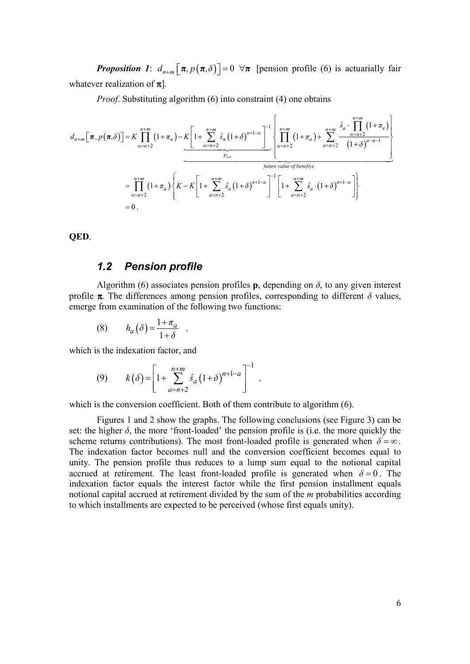*Proposition 1:*  $d_{n+m}$   $[\pi, p(\pi, \delta)] = 0 \ \forall \pi$  [pension profile (6) is actuarially fair whatever realization of  $\pi$ .

*Proof.* Substituting algorithm (6) into constraint (4) one obtains

$$
d_{n+m}[\pi, p(\pi, \delta)] = K \prod_{\alpha=n+2}^{n+m} (1 + \pi_{\alpha}) - K \left[ 1 + \sum_{\alpha=n+2}^{n+m} \hat{s}_{\alpha} (1 + \delta)^{n+1-\alpha} \right]^{-1} \left\{ \prod_{\alpha=n+2}^{n+m} (1 + \pi_{\alpha}) + \sum_{\alpha=n+2}^{n+m} \frac{\hat{s}_{\alpha} \cdot \prod_{\alpha=n+2}^{n+m} (1 + \pi_{\alpha})}{(1 + \delta)^{\alpha-n-1}} \right\}
$$
  
\n
$$
= \prod_{\alpha=n+2}^{n+m} (1 + \pi_{\alpha}) \left\{ K - K \left[ 1 + \sum_{\alpha=n+2}^{n+m} \hat{s}_{\alpha} (1 + \delta)^{n+1-\alpha} \right]^{-1} \left[ 1 + \sum_{\alpha=n+2}^{n+m} \hat{s}_{\alpha} \cdot (1 + \delta)^{n+1-\alpha} \right] \right\}
$$
  
\n= 0,

**QED**.

### *1.2 Pension profile*

Algorithm (6) associates pension profiles **p**, depending on  $\delta$ , to any given interest profile  $\pi$ . The differences among pension profiles, corresponding to different  $\delta$  values, emerge from examination of the following two functions:

$$
(8) \qquad h_a(\delta) = \frac{1 + \pi_a}{1 + \delta} \quad ,
$$

which is the indexation factor, and

(9) 
$$
k(\delta) = \left[1 + \sum_{a=n+2}^{n+m} \hat{s}_a (1+\delta)^{n+1-a}\right]^{-1},
$$

which is the conversion coefficient. Both of them contribute to algorithm  $(6)$ .

Figures 1 and 2 show the graphs. The following conclusions (see Figure 3) can be set: the higher  $\delta$ , the more 'front-loaded' the pension profile is (i.e. the more quickly the scheme returns contributions). The most front-loaded profile is generated when  $\delta = \infty$ . The indexation factor becomes null and the conversion coefficient becomes equal to unity. The pension profile thus reduces to a lump sum equal to the notional capital accrued at retirement. The least front-loaded profile is generated when  $\delta = 0$ . The indexation factor equals the interest factor while the first pension installment equals notional capital accrued at retirement divided by the sum of the *m* probabilities according to which installments are expected to be perceived (whose first equals unity).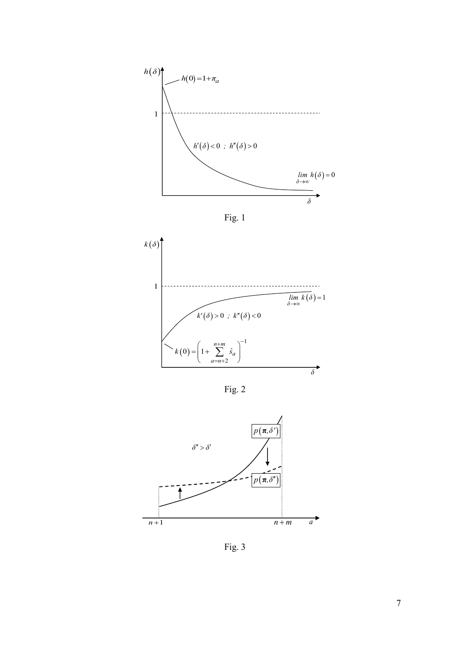





Fig. 2



Fig. 3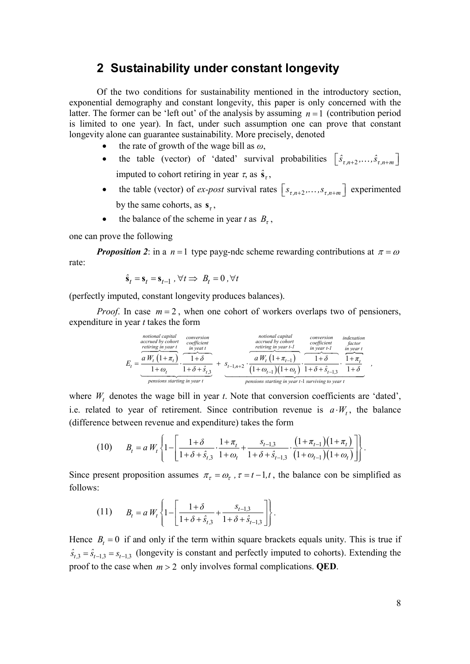# **2 Sustainability under constant longevity**

Of the two conditions for sustainability mentioned in the introductory section, exponential demography and constant longevity, this paper is only concerned with the latter. The former can be 'left out' of the analysis by assuming  $n = 1$  (contribution period is limited to one year). In fact, under such assumption one can prove that constant longevity alone can guarantee sustainability. More precisely, denoted

- the rate of growth of the wage bill as *ω*,
- the table (vector) of 'dated' survival probabilities  $\left[ \hat{s}_{\tau,n+2},...,\hat{s}_{\tau,n+m} \right]$ imputed to cohort retiring in year  $\tau$ , as  $\hat{\mathbf{s}}_t$ ,
- the table (vector) of *ex-post* survival rates  $\left[ s_{\tau,n+2}, \ldots, s_{\tau,n+m} \right]$  experimented by the same cohorts, as  $s_t$ ,
- the balance of the scheme in year *t* as  $B_t$ ,

one can prove the following

*Proposition 2*: in a  $n = 1$  type payg-ndc scheme rewarding contributions at  $\pi = \omega$ rate:

$$
\hat{\mathbf{s}}_t = \mathbf{s}_t = \mathbf{s}_{t-1}, \forall t \Longrightarrow B_t = 0, \forall t
$$

(perfectly imputed, constant longevity produces balances).

*Proof.* In case  $m = 2$ , when one cohort of workers overlaps two of pensioners, expenditure in year *t* takes the form

$$
E_{t} = \underbrace{\underbrace{a W_{t} (1 + \pi_{t})}_{\text{pensions starting in year } t} \cdot \underbrace{\underbrace{a W_{t} (1 + \pi_{t})}_{\text{pensions starting in year } t}}_{\text{pensions starting in year } t} + \underbrace{s_{t-1,n+2} \cdot \underbrace{a W_{t} (1 + \pi_{t-1})}_{\text{pensions starting in year } t}}_{\text{pensions starting in year } t} \cdot \underbrace{\underbrace{a W_{t} (1 + \pi_{t-1})}_{\text{pensions starting in year } t}}_{\text{pensions starting in year } t} \cdot \underbrace{\underbrace{a W_{t} (1 + \pi_{t-1})}_{\text{pensions starting in year } t}}_{\text{pensions starting in year } t-1} \cdot \underbrace{\underbrace{a W_{t} (1 + \pi_{t-1})}_{\text{pensions starting in year } t}}_{\text{pensions starting in year } t-1} \cdot \underbrace{\underbrace{a W_{t} (1 + \pi_{t-1})}_{\text{pensions starting in year } t}}_{\text{pensions starting in year } t-1}.
$$

where  $W_t$  denotes the wage bill in year  $t$ . Note that conversion coefficients are 'dated', i.e. related to year of retirement. Since contribution revenue is  $a \cdot W_t$ , the balance (difference between revenue and expenditure) takes the form

$$
(10) \t Bt = a Wt \left\{ 1 - \left[ \frac{1 + \delta}{1 + \delta + \hat{s}_{t,3}} \cdot \frac{1 + \pi_{t}}{1 + \omega_{t}} + \frac{s_{t-1,3}}{1 + \delta + \hat{s}_{t-1,3}} \cdot \frac{(1 + \pi_{t-1})(1 + \pi_{t})}{(1 + \omega_{t-1})(1 + \omega_{t})} \right] \right\}.
$$

Since present proposition assumes  $\pi_{\tau} = \omega_{\tau}$ ,  $\tau = t - 1$ , the balance con be simplified as follows:

(11) 
$$
B_t = a W_t \left\{ 1 - \left[ \frac{1 + \delta}{1 + \delta + \hat{s}_{t,3}} + \frac{s_{t-1,3}}{1 + \delta + \hat{s}_{t-1,3}} \right] \right\}.
$$

Hence  $B_t = 0$  if and only if the term within square brackets equals unity. This is true if  $\hat{s}_{t,3} = \hat{s}_{t-1,3} = s_{t-1,3}$  (longevity is constant and perfectly imputed to cohorts). Extending the proof to the case when  $m > 2$  only involves formal complications. **QED**.

*,*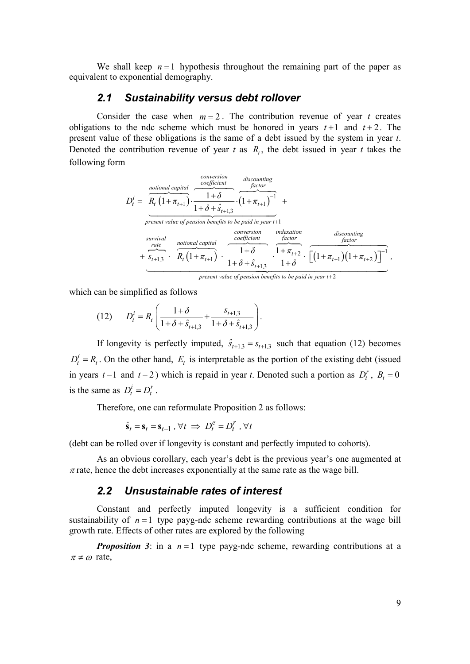We shall keep  $n=1$  hypothesis throughout the remaining part of the paper as equivalent to exponential demography.

#### *2.1 Sustainability versus debt rollover*

Consider the case when  $m = 2$ . The contribution revenue of year *t* creates obligations to the ndc scheme which must be honored in years  $t+1$  and  $t+2$ . The present value of these obligations is the same of a debt issued by the system in year *t*. Denoted the contribution revenue of year  $t$  as  $R_t$ , the debt issued in year  $t$  takes the following form

$$
D_{t}^{i} = \frac{\overbrace{R_{t} (1 + \pi_{t+1})}^{notional capital} \cdot \overbrace{1 + \delta}^{coefficient} \cdot \overbrace{1 + \pi_{t+1})^{-1}}^{discounting} + \overbrace{1 + \delta + \hat{s}_{t+1,3}}^{factor} \cdot \overbrace{(1 + \pi_{t+1})^{-1}}^{factor} + \overbrace{1 + \pi_{t+1,3}}^{current value of pension benefits to be paid in year t+1} \cdot \overbrace{\frac{1 + \delta}{\sigma_{t+1,3}} \cdot \overbrace{R_{t} (1 + \pi_{t+1})}^{notional capital} \cdot \overbrace{\frac{1 + \delta}{1 + \delta} \cdot \overbrace{\frac{1 + \pi_{t+2}}{1 + \delta} \cdot \overbrace{\left[ (1 + \pi_{t+1}) (1 + \pi_{t+2}) \right]^{-1}}^{factor}},
$$

present value of pension benefits to be paid in year t+2

which can be simplified as follows

(12) 
$$
D_t^i = R_t \left( \frac{1+\delta}{1+\delta + \hat{s}_{t+1,3}} + \frac{s_{t+1,3}}{1+\delta + \hat{s}_{t+1,3}} \right).
$$

If longevity is perfectly imputed,  $\hat{s}_{t+1,3} = s_{t+1,3}$  such that equation (12) becomes  $D_t^i = R_t$ . On the other hand,  $E_t$  is interpretable as the portion of the existing debt (issued in years  $t-1$  and  $t-2$ ) which is repaid in year  $t$ . Denoted such a portion as  $D_t^r$ ,  $B_t = 0$ is the same as  $D_t^i = D_t^r$ .

Therefore, one can reformulate Proposition 2 as follows:

$$
\hat{\mathbf{s}}_t = \mathbf{s}_t = \mathbf{s}_{t-1}, \forall t \implies D_t^e = D_t^r, \forall t
$$

(debt can be rolled over if longevity is constant and perfectly imputed to cohorts).

As an obvious corollary, each year's debt is the previous year's one augmented at  $\pi$  rate, hence the debt increases exponentially at the same rate as the wage bill.

#### *2.2 Unsustainable rates of interest*

Constant and perfectly imputed longevity is a sufficient condition for sustainability of  $n=1$  type payg-ndc scheme rewarding contributions at the wage bill growth rate. Effects of other rates are explored by the following

*Proposition 3*: in a  $n = 1$  type payg-ndc scheme, rewarding contributions at a  $\pi \neq \omega$  rate,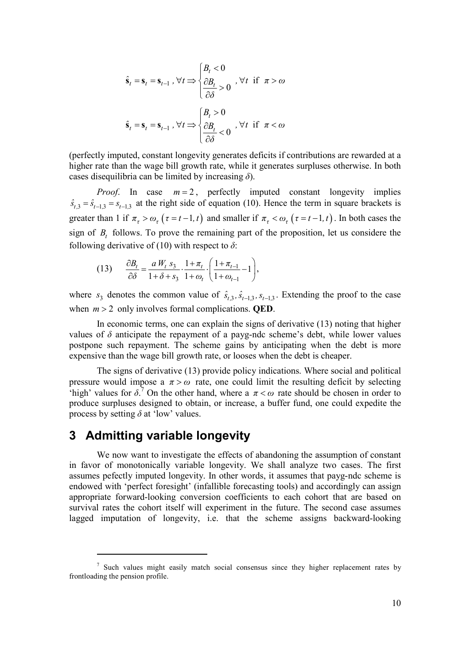$$
\hat{\mathbf{s}}_t = \mathbf{s}_t = \mathbf{s}_{t-1}, \forall t \Longrightarrow \begin{cases} B_t < 0 \\ \frac{\partial B_t}{\partial \delta} > 0 \end{cases}, \forall t \text{ if } \pi > \omega
$$
\n
$$
\hat{\mathbf{s}}_t = \mathbf{s}_t = \mathbf{s}_{t-1}, \forall t \Longrightarrow \begin{cases} B_t > 0 \\ \frac{\partial B_t}{\partial \delta} < 0 \end{cases}, \forall t \text{ if } \pi < \omega
$$

(perfectly imputed, constant longevity generates deficits if contributions are rewarded at a higher rate than the wage bill growth rate, while it generates surpluses otherwise. In both cases disequilibria can be limited by increasing *δ*).

*Proof.* In case  $m = 2$ , perfectly imputed constant longevity implies  $\hat{s}_{t,3} = \hat{s}_{t-1,3} = s_{t-1,3}$  at the right side of equation (10). Hence the term in square brackets is greater than 1 if  $\pi_{\tau} > \omega_{\tau}$  ( $\tau = t - 1, t$ ) and smaller if  $\pi_{\tau} < \omega_{\tau}$  ( $\tau = t - 1, t$ ). In both cases the sign of  $B_t$  follows. To prove the remaining part of the proposition, let us considere the following derivative of (10) with respect to  $\delta$ :

(13) 
$$
\frac{\partial B_t}{\partial \delta} = \frac{a W_t s_3}{1 + \delta + s_3} \cdot \frac{1 + \pi_t}{1 + \omega_t} \cdot \left( \frac{1 + \pi_{t-1}}{1 + \omega_{t-1}} - 1 \right),
$$

where  $s_3$  denotes the common value of  $\hat{s}_{t,3}, \hat{s}_{t-1,3}, s_{t-1,3}$ . Extending the proof to the case when  $m > 2$  only involves formal complications. **QED**.

In economic terms, one can explain the signs of derivative (13) noting that higher values of  $\delta$  anticipate the repayment of a payg-ndc scheme's debt, while lower values postpone such repayment. The scheme gains by anticipating when the debt is more expensive than the wage bill growth rate, or looses when the debt is cheaper.

The signs of derivative (13) provide policy indications. Where social and political pressure would impose a  $\pi > \omega$  rate, one could limit the resulting deficit by selecting 'high' values for  $\delta$ <sup>7</sup>. On the other hand, where a  $\pi < \omega$  rate should be chosen in order to produce surpluses designed to obtain, or increase, a buffer fund, one could expedite the process by setting  $\delta$  at 'low' values.

# **3 Admitting variable longevity**

-

We now want to investigate the effects of abandoning the assumption of constant in favor of monotonically variable longevity. We shall analyze two cases. The first assumes pefectly imputed longevity. In other words, it assumes that payg-ndc scheme is endowed with 'perfect foresight' (infallible forecasting tools) and accordingly can assign appropriate forward-looking conversion coefficients to each cohort that are based on survival rates the cohort itself will experiment in the future. The second case assumes lagged imputation of longevity, i.e. that the scheme assigns backward-looking

<sup>&</sup>lt;sup>7</sup> Such values might easily match social consensus since they higher replacement rates by frontloading the pension profile.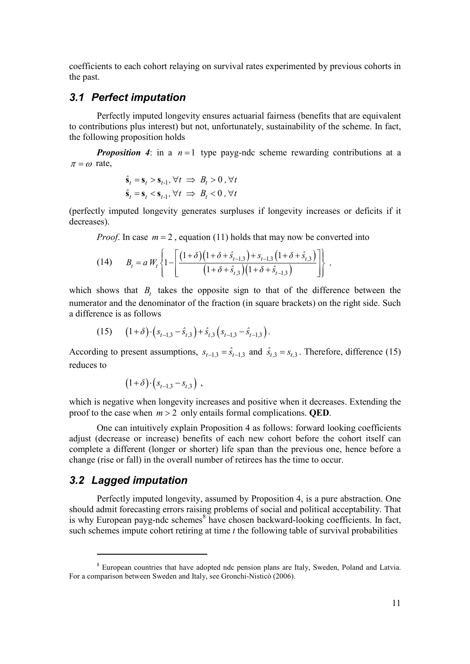coefficients to each cohort relaying on survival rates experimented by previous cohorts in the past.

#### *3.1 Perfect imputation*

Perfectly imputed longevity ensures actuarial fairness (benefits that are equivalent to contributions plus interest) but not, unfortunately, sustainability of the scheme. In fact, the following proposition holds

*Proposition 4*: in a  $n=1$  type payg-ndc scheme rewarding contributions at a  $\pi = \omega$  rate,

$$
\hat{\mathbf{s}}_t = \mathbf{s}_t > \mathbf{s}_{t-1}, \forall t \implies B_t > 0, \forall t
$$
\n
$$
\hat{\mathbf{s}}_t = \mathbf{s}_t < \mathbf{s}_{t-1}, \forall t \implies B_t < 0, \forall t
$$

(perfectly imputed longevity generates surpluses if longevity increases or deficits if it decreases).

*Proof.* In case  $m = 2$ , equation (11) holds that may now be converted into

(14) 
$$
B_t = a W_t \left\{ 1 - \left[ \frac{(1+\delta)(1+\delta+\hat{s}_{t-1,3}) + s_{t-1,3}(1+\delta+\hat{s}_{t,3})}{(1+\delta+\hat{s}_{t,3})(1+\delta+\hat{s}_{t-1,3})} \right] \right\},
$$

which shows that  $B_t$  takes the opposite sign to that of the difference between the numerator and the denominator of the fraction (in square brackets) on the right side. Such a difference is as follows

$$
(15) \qquad (1+\delta)\cdot (s_{t-1,3}-\hat{s}_{t,3})+\hat{s}_{t,3}(s_{t-1,3}-\hat{s}_{t-1,3}).
$$

According to present assumptions,  $s_{t-1,3} = \hat{s}_{t-1,3}$  and  $\hat{s}_{t,3} = s_{t,3}$ . Therefore, difference (15) reduces to

$$
(1+\delta)\cdot (s_{t-1,3} - s_{t,3})
$$
,

which is negative when longevity increases and positive when it decreases. Extending the proof to the case when  $m > 2$  only entails formal complications. **OED**.

One can intuitively explain Proposition 4 as follows: forward looking coefficients adjust (decrease or increase) benefits of each new cohort before the cohort itself can complete a different (longer or shorter) life span than the previous one, hence before a change (rise or fall) in the overall number of retirees has the time to occur.

#### *3.2 Lagged imputation*

-

Perfectly imputed longevity, assumed by Proposition 4, is a pure abstraction. One should admit forecasting errors raising problems of social and political acceptability. That is why European payg-ndc schemes<sup>8</sup> have chosen backward-looking coefficients. In fact, such schemes impute cohort retiring at time *t* the following table of survival probabilities

<sup>&</sup>lt;sup>8</sup> European countries that have adopted ndc pension plans are Italy, Sweden, Poland and Latvia. For a comparison between Sweden and Italy, see Gronchi-Nisticò (2006).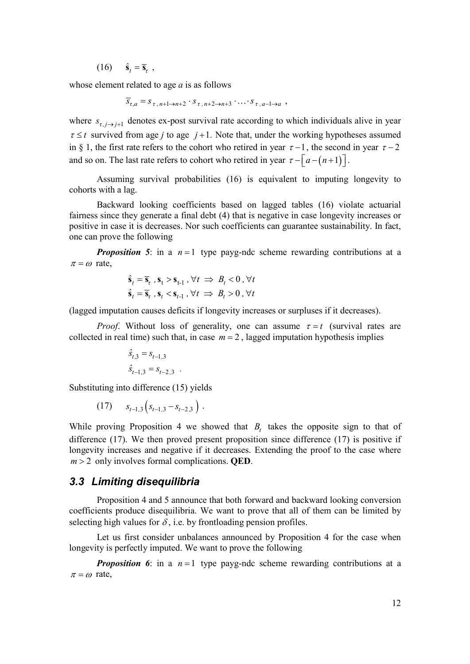(16)  $\hat{\mathbf{s}}_t = \overline{\mathbf{s}}_{\tau}$ ,

whose element related to age *a* is as follows

 $\overline{S}_{\tau,a} = S_{\tau, n+1 \to n+2} \cdot S_{\tau, n+2 \to n+3} \cdot \cdots \cdot S_{\tau, a-1 \to a}$ ,

where  $s_{\tau, j \to j+1}$  denotes ex-post survival rate according to which individuals alive in year  $\tau \leq t$  survived from age *j* to age *j* +1. Note that, under the working hypotheses assumed in § 1, the first rate refers to the cohort who retired in year  $\tau - 1$ , the second in year  $\tau - 2$ and so on. The last rate refers to cohort who retired in year  $\tau - \lceil a - (n+1) \rceil$ .

Assuming survival probabilities (16) is equivalent to imputing longevity to cohorts with a lag.

Backward looking coefficients based on lagged tables (16) violate actuarial fairness since they generate a final debt (4) that is negative in case longevity increases or positive in case it is decreases. Nor such coefficients can guarantee sustainability. In fact, one can prove the following

*Proposition 5*: in a  $n = 1$  type payg-ndc scheme rewarding contributions at a  $\pi = \omega$  rate,

$$
\hat{\mathbf{s}}_t = \overline{\mathbf{s}}_t, \mathbf{s}_t > \mathbf{s}_{t-1}, \forall t \implies B_t < 0, \forall t
$$
\n
$$
\hat{\mathbf{s}}_t = \overline{\mathbf{s}}_t, \mathbf{s}_t < \mathbf{s}_{t-1}, \forall t \implies B_t > 0, \forall t
$$

(lagged imputation causes deficits if longevity increases or surpluses if it decreases).

*Proof.* Without loss of generality, one can assume  $\tau = t$  (survival rates are collected in real time) such that, in case  $m = 2$ , lagged imputation hypothesis implies

$$
\hat{s}_{t,3} = s_{t-1,3}
$$
  

$$
\hat{s}_{t-1,3} = s_{t-2,3}
$$

Substituting into difference (15) yields

$$
(17) \t s_{t-1,3} (s_{t-1,3} - s_{t-2,3}) .
$$

While proving Proposition 4 we showed that  $B_t$  takes the opposite sign to that of difference (17). We then proved present proposition since difference (17) is positive if longevity increases and negative if it decreases. Extending the proof to the case where *m* > 2 only involves formal complications. **QED**.

#### *3.3 Limiting disequilibria*

Proposition 4 and 5 announce that both forward and backward looking conversion coefficients produce disequilibria. We want to prove that all of them can be limited by selecting high values for  $\delta$ , i.e. by frontloading pension profiles.

Let us first consider unbalances announced by Proposition 4 for the case when longevity is perfectly imputed. We want to prove the following

*Proposition 6*: in a  $n = 1$  type payg-ndc scheme rewarding contributions at a  $\pi = \omega$  rate,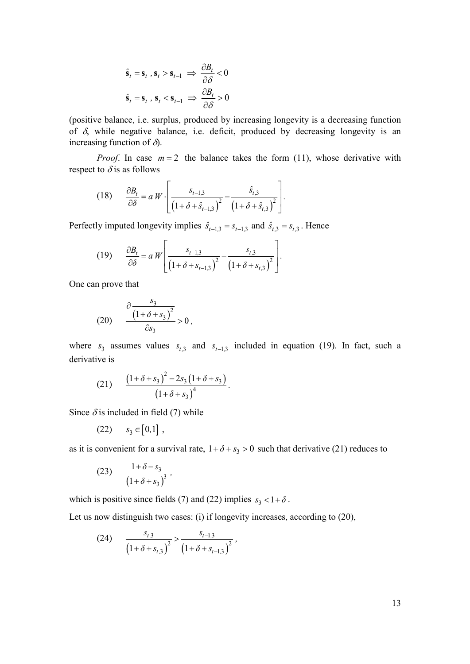$$
\hat{\mathbf{s}}_t = \mathbf{s}_t, \, \mathbf{s}_t > \mathbf{s}_{t-1} \implies \frac{\partial B_t}{\partial \delta} < 0
$$
\n
$$
\hat{\mathbf{s}}_t = \mathbf{s}_t, \, \mathbf{s}_t < \mathbf{s}_{t-1} \implies \frac{\partial B_t}{\partial \delta} > 0
$$

(positive balance, i.e. surplus, produced by increasing longevity is a decreasing function of  $\delta$ , while negative balance, i.e. deficit, produced by decreasing longevity is an increasing function of  $\delta$ ).

*Proof.* In case  $m = 2$  the balance takes the form (11), whose derivative with respect to  $\delta$  is as follows

 $\overline{a}$ 

(18) 
$$
\frac{\partial B_t}{\partial \delta} = a W \cdot \left[ \frac{s_{t-1,3}}{\left(1 + \delta + \hat{s}_{t-1,3}\right)^2} - \frac{\hat{s}_{t,3}}{\left(1 + \delta + \hat{s}_{t,3}\right)^2} \right].
$$

Perfectly imputed longevity implies  $\hat{s}_{t-1,3} = s_{t-1,3}$  and  $\hat{s}_{t,3} = s_{t,3}$ . Hence

(19) 
$$
\frac{\partial B_t}{\partial \delta} = a W \left[ \frac{s_{t-1,3}}{\left(1 + \delta + s_{t-1,3}\right)^2} - \frac{s_{t,3}}{\left(1 + \delta + s_{t,3}\right)^2} \right].
$$

One can prove that

$$
(20) \qquad \frac{\partial \frac{s_3}{(1+\delta+s_3)^2}}{\partial s_3} > 0,
$$

where  $s_3$  assumes values  $s_{t,3}$  and  $s_{t-1,3}$  included in equation (19). In fact, such a derivative is

(21) 
$$
\frac{(1+\delta+s_3)^2-2s_3(1+\delta+s_3)}{(1+\delta+s_3)^4}.
$$

Since  $\delta$  is included in field (7) while

$$
(22) \qquad s_3 \in [0,1],
$$

as it is convenient for a survival rate,  $1 + \delta + s_3 > 0$  such that derivative (21) reduces to

(23) 
$$
\frac{1+\delta-s_3}{(1+\delta+s_3)^3},
$$

which is positive since fields (7) and (22) implies  $s_3 < 1 + \delta$ .

Let us now distinguish two cases: (i) if longevity increases, according to (20),

(24) 
$$
\frac{s_{t,3}}{\left(1+\delta+s_{t,3}\right)^2} > \frac{s_{t-1,3}}{\left(1+\delta+s_{t-1,3}\right)^2},
$$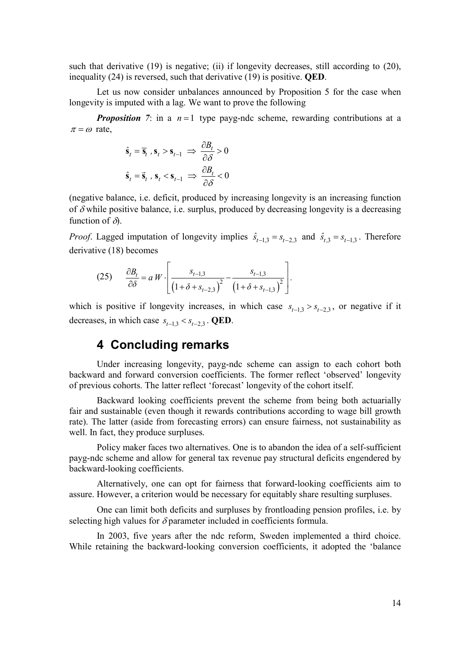such that derivative  $(19)$  is negative; (ii) if longevity decreases, still according to  $(20)$ , inequality (24) is reversed, such that derivative (19) is positive. **QED**.

Let us now consider unbalances announced by Proposition 5 for the case when longevity is imputed with a lag. We want to prove the following

*Proposition 7*: in a  $n = 1$  type payg-ndc scheme, rewarding contributions at a  $\pi = \omega$  rate,

$$
\hat{\mathbf{s}}_t = \overline{\mathbf{s}}_t, \mathbf{s}_t > \mathbf{s}_{t-1} \implies \frac{\partial B_t}{\partial \delta} > 0
$$
  

$$
\hat{\mathbf{s}}_t = \overline{\mathbf{s}}_t, \mathbf{s}_t < \mathbf{s}_{t-1} \implies \frac{\partial B_t}{\partial \delta} < 0
$$

(negative balance, i.e. deficit, produced by increasing longevity is an increasing function of  $\delta$  while positive balance, i.e. surplus, produced by decreasing longevity is a decreasing function of  $\delta$ ).

*Proof.* Lagged imputation of longevity implies  $\hat{s}_{t-1,3} = s_{t-2,3}$  and  $\hat{s}_{t,3} = s_{t-1,3}$ . Therefore derivative (18) becomes

(25) 
$$
\frac{\partial B_t}{\partial \delta} = a W \cdot \left[ \frac{s_{t-1,3}}{\left(1 + \delta + s_{t-2,3}\right)^2} - \frac{s_{t-1,3}}{\left(1 + \delta + s_{t-1,3}\right)^2} \right].
$$

which is positive if longevity increases, in which case  $s_{t-1,3} > s_{t-2,3}$ , or negative if it decreases, in which case  $s_{t-1,3} < s_{t-2,3}$ . **QED**.

# **4 Concluding remarks**

Under increasing longevity, payg-ndc scheme can assign to each cohort both backward and forward conversion coefficients. The former reflect 'observed' longevity of previous cohorts. The latter reflect 'forecast' longevity of the cohort itself.

Backward looking coefficients prevent the scheme from being both actuarially fair and sustainable (even though it rewards contributions according to wage bill growth rate). The latter (aside from forecasting errors) can ensure fairness, not sustainability as well. In fact, they produce surpluses.

Policy maker faces two alternatives. One is to abandon the idea of a self-sufficient payg-ndc scheme and allow for general tax revenue pay structural deficits engendered by backward-looking coefficients.

Alternatively, one can opt for fairness that forward-looking coefficients aim to assure. However, a criterion would be necessary for equitably share resulting surpluses.

One can limit both deficits and surpluses by frontloading pension profiles, i.e. by selecting high values for  $\delta$  parameter included in coefficients formula.

In 2003, five years after the ndc reform, Sweden implemented a third choice. While retaining the backward-looking conversion coefficients, it adopted the 'balance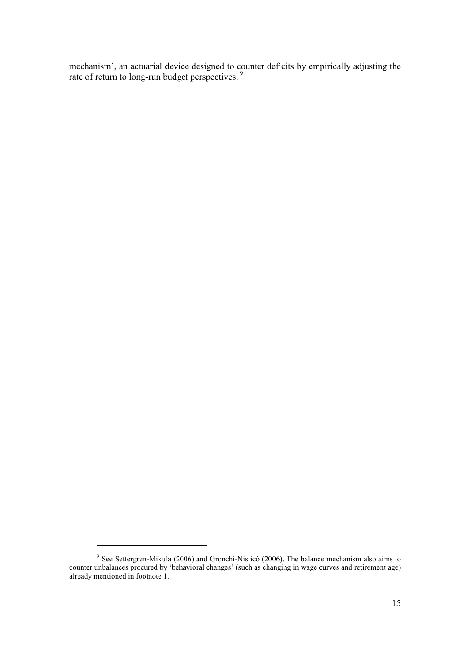mechanism', an actuarial device designed to counter deficits by empirically adjusting the rate of return to long-run budget perspectives.<sup>9</sup>

-

<sup>&</sup>lt;sup>9</sup> See Settergren-Mikula (2006) and Gronchi-Nisticò (2006). The balance mechanism also aims to counter unbalances procured by 'behavioral changes' (such as changing in wage curves and retirement age) already mentioned in footnote 1.